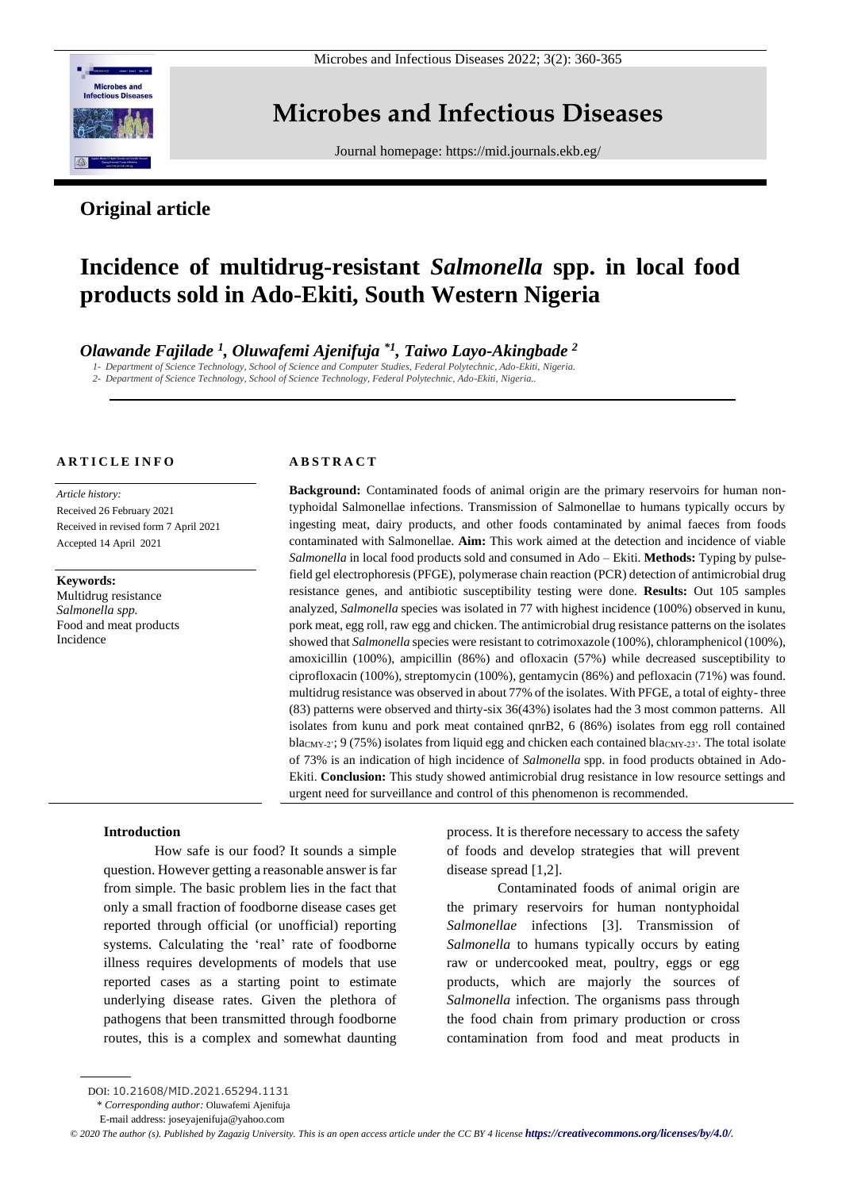

Microbes and Infectious Diseases 2022; 3(2): 360-365

## **Microbes and Infectious Diseases**

Journal homepage:<https://mid.journals.ekb.eg/>

### **Original article**

# **Incidence of multidrug-resistant** *Salmonella* **spp. in local food products sold in Ado-Ekiti, South Western Nigeria**

*Olawande Fajilade <sup>1</sup> , Oluwafemi Ajenifuja \*1 , Taiwo Layo-Akingbade <sup>2</sup>*

*1- Department of Science Technology, School of Science and Computer Studies, Federal Polytechnic, Ado-Ekiti, Nigeria.*

*2- Department of Science Technology, School of Science Technology, Federal Polytechnic, Ado-Ekiti, Nigeria..*

#### **A R T I C L E I N F O**

*Article history:*  Received 26 February 2021 Received in revised form 7 April 2021 Accepted 14 April 2021

**Keywords:** Multidrug resistance

*Salmonella spp.* Food and meat products Incidence

#### **A B S T R A C T**

**Background:** Contaminated foods of animal origin are the primary reservoirs for human nontyphoidal Salmonellae infections. Transmission of Salmonellae to humans typically occurs by ingesting meat, dairy products, and other foods contaminated by animal faeces from foods contaminated with Salmonellae. **Aim:** This work aimed at the detection and incidence of viable *Salmonella* in local food products sold and consumed in Ado – Ekiti. **Methods:** Typing by pulsefield gel electrophoresis (PFGE), polymerase chain reaction (PCR) detection of antimicrobial drug resistance genes, and antibiotic susceptibility testing were done. **Results:** Out 105 samples analyzed, *Salmonella* species was isolated in 77 with highest incidence (100%) observed in kunu, pork meat, egg roll, raw egg and chicken. The antimicrobial drug resistance patterns on the isolates showed that *Salmonella* species were resistant to cotrimoxazole (100%), chloramphenicol (100%), amoxicillin (100%), ampicillin (86%) and ofloxacin (57%) while decreased susceptibility to ciprofloxacin (100%), streptomycin (100%), gentamycin (86%) and pefloxacin (71%) was found. multidrug resistance was observed in about 77% of the isolates. With PFGE, a total of eighty- three (83) patterns were observed and thirty-six 36(43%) isolates had the 3 most common patterns. All isolates from kunu and pork meat contained qnrB2, 6 (86%) isolates from egg roll contained bla<sub>CMY-2</sub>: 9 (75%) isolates from liquid egg and chicken each contained bla<sub>CMY-23</sub>. The total isolate of 73% is an indication of high incidence of *Salmonella* spp. in food products obtained in Ado-Ekiti. **Conclusion:** This study showed antimicrobial drug resistance in low resource settings and urgent need for surveillance and control of this phenomenon is recommended.

#### **Introduction**

How safe is our food? It sounds a simple question. However getting a reasonable answer is far from simple. The basic problem lies in the fact that only a small fraction of foodborne disease cases get reported through official (or unofficial) reporting systems. Calculating the 'real' rate of foodborne illness requires developments of models that use reported cases as a starting point to estimate underlying disease rates. Given the plethora of pathogens that been transmitted through foodborne routes, this is a complex and somewhat daunting process. It is therefore necessary to access the safety of foods and develop strategies that will prevent disease spread [1,2].

Contaminated foods of animal origin are the primary reservoirs for human nontyphoidal *Salmonellae* infections [3]. Transmission of *Salmonella* to humans typically occurs by eating raw or undercooked meat, poultry, eggs or egg products, which are majorly the sources of *Salmonella* infection. The organisms pass through the food chain from primary production or cross contamination from food and meat products in

\* *Corresponding author:* Oluwafemi Ajenifuja

DOI: 10.21608/MID.2021.65294.1131

E-mail address: joseyajenifuja@yahoo.com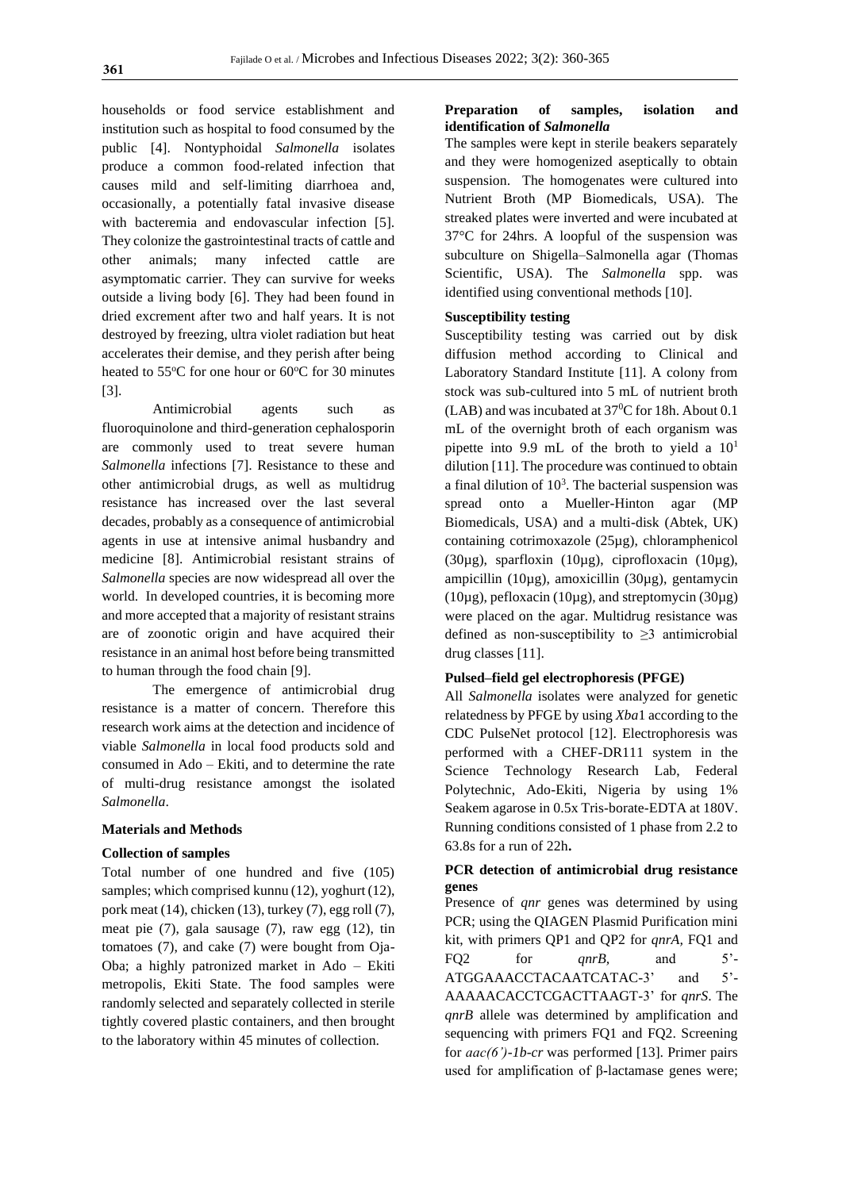households or food service establishment and institution such as hospital to food consumed by the public [4]. Nontyphoidal *Salmonella* isolates produce a common food-related infection that causes mild and self-limiting diarrhoea and, occasionally, a potentially fatal invasive disease with bacteremia and endovascular infection [5]. They colonize the gastrointestinal tracts of cattle and other animals; many infected cattle are asymptomatic carrier. They can survive for weeks outside a living body [6]. They had been found in dried excrement after two and half years. It is not destroyed by freezing, ultra violet radiation but heat accelerates their demise, and they perish after being heated to  $55^{\circ}$ C for one hour or  $60^{\circ}$ C for 30 minutes [3].

Antimicrobial agents such as fluoroquinolone and third-generation cephalosporin are commonly used to treat severe human *Salmonella* infections [7]. Resistance to these and other antimicrobial drugs, as well as multidrug resistance has increased over the last several decades, probably as a consequence of antimicrobial agents in use at intensive animal husbandry and medicine [8]. Antimicrobial resistant strains of *Salmonella* species are now widespread all over the world. In developed countries, it is becoming more and more accepted that a majority of resistant strains are of zoonotic origin and have acquired their resistance in an animal host before being transmitted to human through the food chain [9].

The emergence of antimicrobial drug resistance is a matter of concern. Therefore this research work aims at the detection and incidence of viable *Salmonella* in local food products sold and consumed in Ado – Ekiti, and to determine the rate of multi-drug resistance amongst the isolated *Salmonella*.

#### **Materials and Methods**

#### **Collection of samples**

Total number of one hundred and five (105) samples; which comprised kunnu (12), yoghurt (12), pork meat (14), chicken (13), turkey (7), egg roll (7), meat pie (7), gala sausage (7), raw egg (12), tin tomatoes (7), and cake (7) were bought from Oja-Oba; a highly patronized market in Ado – Ekiti metropolis, Ekiti State. The food samples were randomly selected and separately collected in sterile tightly covered plastic containers, and then brought to the laboratory within 45 minutes of collection.

#### **Preparation of samples, isolation and identification of** *Salmonella*

The samples were kept in sterile beakers separately and they were homogenized aseptically to obtain suspension. The homogenates were cultured into Nutrient Broth (MP Biomedicals, USA). The streaked plates were inverted and were incubated at 37°C for 24hrs. A loopful of the suspension was subculture on Shigella–Salmonella agar (Thomas Scientific, USA). The *Salmonella* spp. was identified using conventional methods [10].

#### **Susceptibility testing**

Susceptibility testing was carried out by disk diffusion method according to Clinical and Laboratory Standard Institute [11]. A colony from stock was sub-cultured into 5 mL of nutrient broth (LAB) and was incubated at  $37^{\circ}$ C for 18h. About 0.1 mL of the overnight broth of each organism was pipette into 9.9 mL of the broth to yield a  $10<sup>1</sup>$ dilution [11]. The procedure was continued to obtain a final dilution of  $10<sup>3</sup>$ . The bacterial suspension was spread onto a Mueller-Hinton agar (MP Biomedicals, USA) and a multi-disk (Abtek, UK) containing cotrimoxazole (25µg), chloramphenicol (30µg), sparfloxin (10µg), ciprofloxacin (10µg), ampicillin (10µg), amoxicillin (30µg), gentamycin (10µg), pefloxacin (10µg), and streptomycin (30µg) were placed on the agar. Multidrug resistance was defined as non-susceptibility to  $\geq$ 3 antimicrobial drug classes [11].

#### **Pulsed–field gel electrophoresis (PFGE)**

All *Salmonella* isolates were analyzed for genetic relatedness by PFGE by using *Xba*1 according to the CDC PulseNet protocol [12]. Electrophoresis was performed with a CHEF-DR111 system in the Science Technology Research Lab, Federal Polytechnic, Ado-Ekiti, Nigeria by using 1% Seakem agarose in 0.5x Tris-borate-EDTA at 180V. Running conditions consisted of 1 phase from 2.2 to 63.8s for a run of 22h**.**

#### **PCR detection of antimicrobial drug resistance genes**

Presence of *qnr* genes was determined by using PCR; using the QIAGEN Plasmid Purification mini kit, with primers QP1 and QP2 for *qnrA,* FQ1 and FQ2 for *qnrB,* and 5'- ATGGAAACCTACAATCATAC-3' and 5'-AAAAACACCTCGACTTAAGT-3' for *qnrS*. The *qnrB* allele was determined by amplification and sequencing with primers FQ1 and FQ2. Screening for *aac(6')-1b-cr* was performed [13]. Primer pairs used for amplification of β**-**lactamase genes were;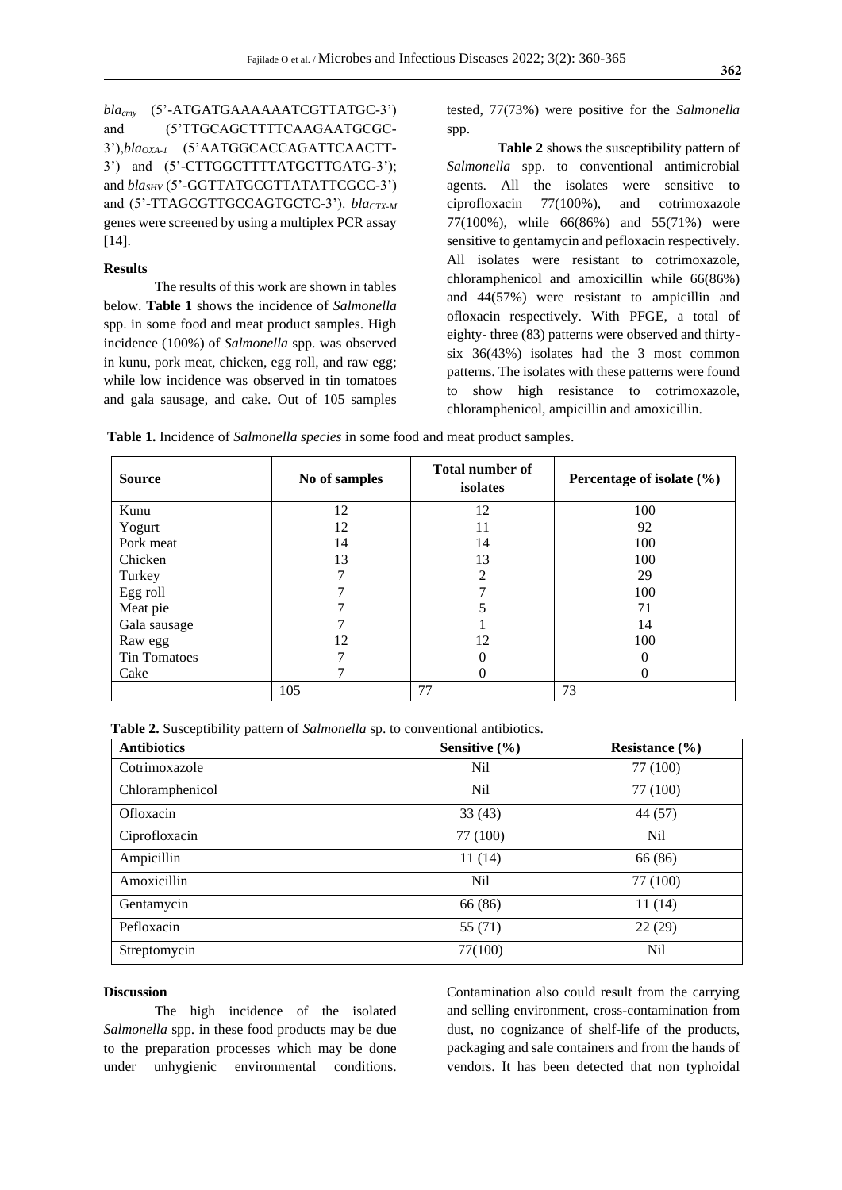*blacmy* (5'-ATGATGAAAAAATCGTTATGC-3') and (5'TTGCAGCTTTTCAAGAATGCGC-3'),*blaOXA-1* (5'AATGGCACCAGATTCAACTT-3') and (5'-CTTGGCTTTTATGCTTGATG-3'); and *blaSHV* (5'-GGTTATGCGTTATATTCGCC-3') and (5'-TTAGCGTTGCCAGTGCTC-3'). *blaCTX-M* genes were screened by using a multiplex PCR assay [14].

#### **Results**

The results of this work are shown in tables below. **Table 1** shows the incidence of *Salmonella*  spp. in some food and meat product samples. High incidence (100%) of *Salmonella* spp. was observed in kunu, pork meat, chicken, egg roll, and raw egg; while low incidence was observed in tin tomatoes and gala sausage, and cake. Out of 105 samples tested, 77(73%) were positive for the *Salmonella* spp.

**Table 2** shows the susceptibility pattern of *Salmonella* spp. to conventional antimicrobial agents. All the isolates were sensitive to ciprofloxacin 77(100%), and cotrimoxazole 77(100%), while 66(86%) and 55(71%) were sensitive to gentamycin and pefloxacin respectively. All isolates were resistant to cotrimoxazole, chloramphenicol and amoxicillin while 66(86%) and 44(57%) were resistant to ampicillin and ofloxacin respectively. With PFGE, a total of eighty- three (83) patterns were observed and thirtysix 36(43%) isolates had the 3 most common patterns. The isolates with these patterns were found to show high resistance to cotrimoxazole, chloramphenicol, ampicillin and amoxicillin.

**Table 1.** Incidence of *Salmonella species* in some food and meat product samples.

| <b>Source</b>       | No of samples | <b>Total number of</b><br>isolates | Percentage of isolate $(\% )$ |
|---------------------|---------------|------------------------------------|-------------------------------|
| Kunu                | 12            | 12                                 | 100                           |
| Yogurt              | 12            | 11                                 | 92                            |
| Pork meat           | 14            | 14                                 | 100                           |
| Chicken             | 13            | 13                                 | 100                           |
| Turkey              |               | $\overline{c}$                     | 29                            |
| Egg roll            |               | ⇁                                  | 100                           |
| Meat pie            |               |                                    | 71                            |
| Gala sausage        |               |                                    | 14                            |
| Raw egg             | 12            | 12                                 | 100                           |
| <b>Tin Tomatoes</b> |               | $\theta$                           | $\Omega$                      |
| Cake                |               | $\theta$                           |                               |
|                     | 105           | 77                                 | 73                            |

 **Table 2.** Susceptibility pattern of *Salmonella* sp. to conventional antibiotics.

| <b>Antibiotics</b> | Sensitive $(\% )$ | Resistance $(\% )$ |
|--------------------|-------------------|--------------------|
| Cotrimoxazole      | Nil               | 77 (100)           |
| Chloramphenicol    | N <sub>il</sub>   | 77 (100)           |
| Ofloxacin          | 33(43)            | 44 (57)            |
| Ciprofloxacin      | 77 (100)          | Nil                |
| Ampicillin         | 11(14)            | 66 (86)            |
| Amoxicillin        | N <sub>il</sub>   | 77 (100)           |
| Gentamycin         | 66 (86)           | 11 (14)            |
| Pefloxacin         | 55(71)            | 22(29)             |
| Streptomycin       | 77(100)           | Nil                |

#### **Discussion**

The high incidence of the isolated *Salmonella* spp. in these food products may be due to the preparation processes which may be done under unhygienic environmental conditions.

Contamination also could result from the carrying and selling environment, cross-contamination from dust, no cognizance of shelf-life of the products, packaging and sale containers and from the hands of vendors. It has been detected that non typhoidal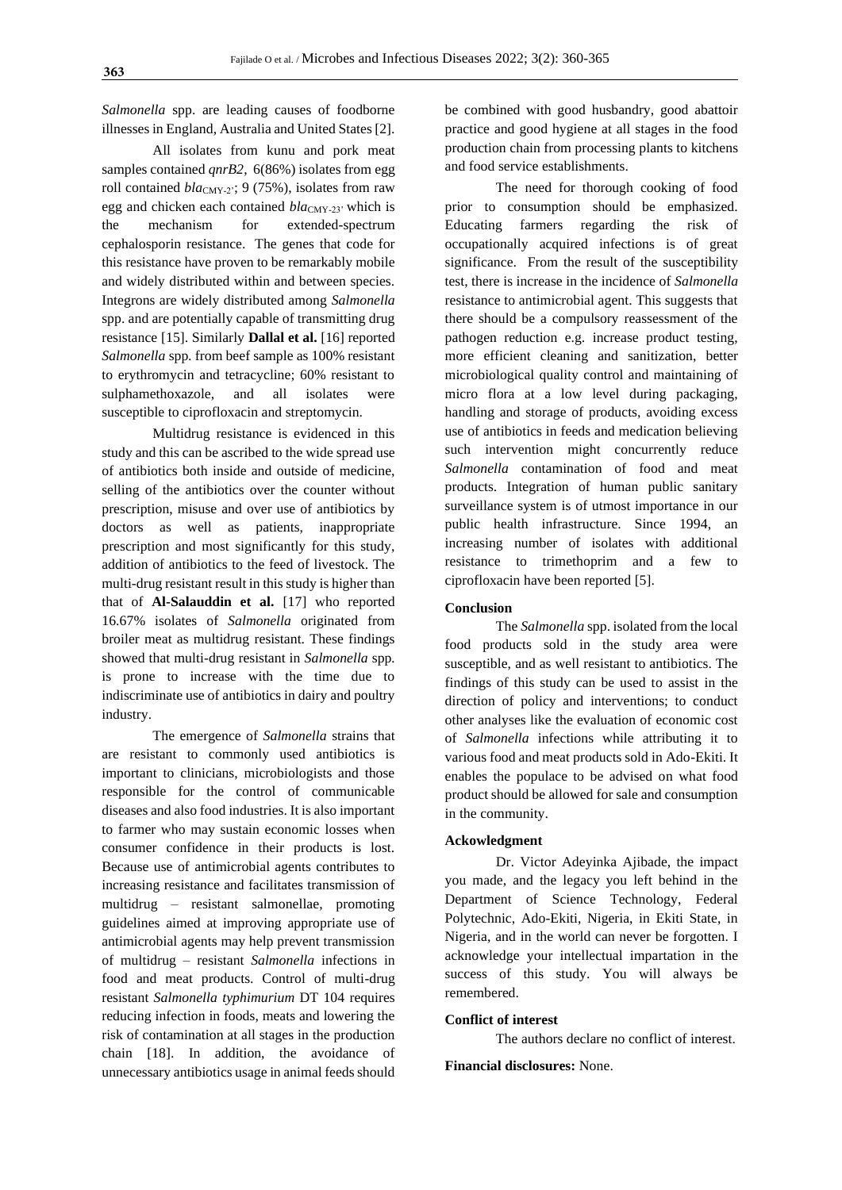*Salmonella* spp. are leading causes of foodborne illnesses in England, Australia and United States [2].

All isolates from kunu and pork meat samples contained *qnrB2*, 6(86%) isolates from egg roll contained *bla*<sub>CMY-2</sub>; 9 (75%), isolates from raw egg and chicken each contained *blac<sub>MY-23</sub>* which is the mechanism for extended-spectrum cephalosporin resistance. The genes that code for this resistance have proven to be remarkably mobile and widely distributed within and between species. Integrons are widely distributed among *Salmonella*  spp. and are potentially capable of transmitting drug resistance [15]. Similarly **Dallal et al.** [16] reported *Salmonella* spp*.* from beef sample as 100% resistant to erythromycin and tetracycline; 60% resistant to sulphamethoxazole, and all isolates were susceptible to ciprofloxacin and streptomycin.

Multidrug resistance is evidenced in this study and this can be ascribed to the wide spread use of antibiotics both inside and outside of medicine, selling of the antibiotics over the counter without prescription, misuse and over use of antibiotics by doctors as well as patients, inappropriate prescription and most significantly for this study, addition of antibiotics to the feed of livestock. The multi-drug resistant result in this study is higher than that of **Al-Salauddin et al.** [17] who reported 16.67% isolates of *Salmonella* originated from broiler meat as multidrug resistant. These findings showed that multi-drug resistant in *Salmonella* spp*.* is prone to increase with the time due to indiscriminate use of antibiotics in dairy and poultry industry.

The emergence of *Salmonella* strains that are resistant to commonly used antibiotics is important to clinicians, microbiologists and those responsible for the control of communicable diseases and also food industries. It is also important to farmer who may sustain economic losses when consumer confidence in their products is lost. Because use of antimicrobial agents contributes to increasing resistance and facilitates transmission of multidrug – resistant salmonellae, promoting guidelines aimed at improving appropriate use of antimicrobial agents may help prevent transmission of multidrug – resistant *Salmonella* infections in food and meat products. Control of multi-drug resistant *Salmonella typhimurium* DT 104 requires reducing infection in foods, meats and lowering the risk of contamination at all stages in the production chain [18]. In addition, the avoidance of unnecessary antibiotics usage in animal feeds should be combined with good husbandry, good abattoir practice and good hygiene at all stages in the food production chain from processing plants to kitchens and food service establishments.

The need for thorough cooking of food prior to consumption should be emphasized. Educating farmers regarding the risk of occupationally acquired infections is of great significance. From the result of the susceptibility test, there is increase in the incidence of *Salmonella* resistance to antimicrobial agent. This suggests that there should be a compulsory reassessment of the pathogen reduction e.g. increase product testing, more efficient cleaning and sanitization, better microbiological quality control and maintaining of micro flora at a low level during packaging, handling and storage of products, avoiding excess use of antibiotics in feeds and medication believing such intervention might concurrently reduce *Salmonella* contamination of food and meat products. Integration of human public sanitary surveillance system is of utmost importance in our public health infrastructure. Since 1994, an increasing number of isolates with additional resistance to trimethoprim and a few to ciprofloxacin have been reported [5].

#### **Conclusion**

The *Salmonella* spp. isolated from the local food products sold in the study area were susceptible, and as well resistant to antibiotics. The findings of this study can be used to assist in the direction of policy and interventions; to conduct other analyses like the evaluation of economic cost of *Salmonella* infections while attributing it to various food and meat products sold in Ado-Ekiti. It enables the populace to be advised on what food product should be allowed for sale and consumption in the community.

#### **Ackowledgment**

Dr. Victor Adeyinka Ajibade, the impact you made, and the legacy you left behind in the Department of Science Technology, Federal Polytechnic, Ado-Ekiti, Nigeria, in Ekiti State, in Nigeria, and in the world can never be forgotten. I acknowledge your intellectual impartation in the success of this study. You will always be remembered.

#### **Conflict of interest**

The authors declare no conflict of interest.

#### **Financial disclosures:** None.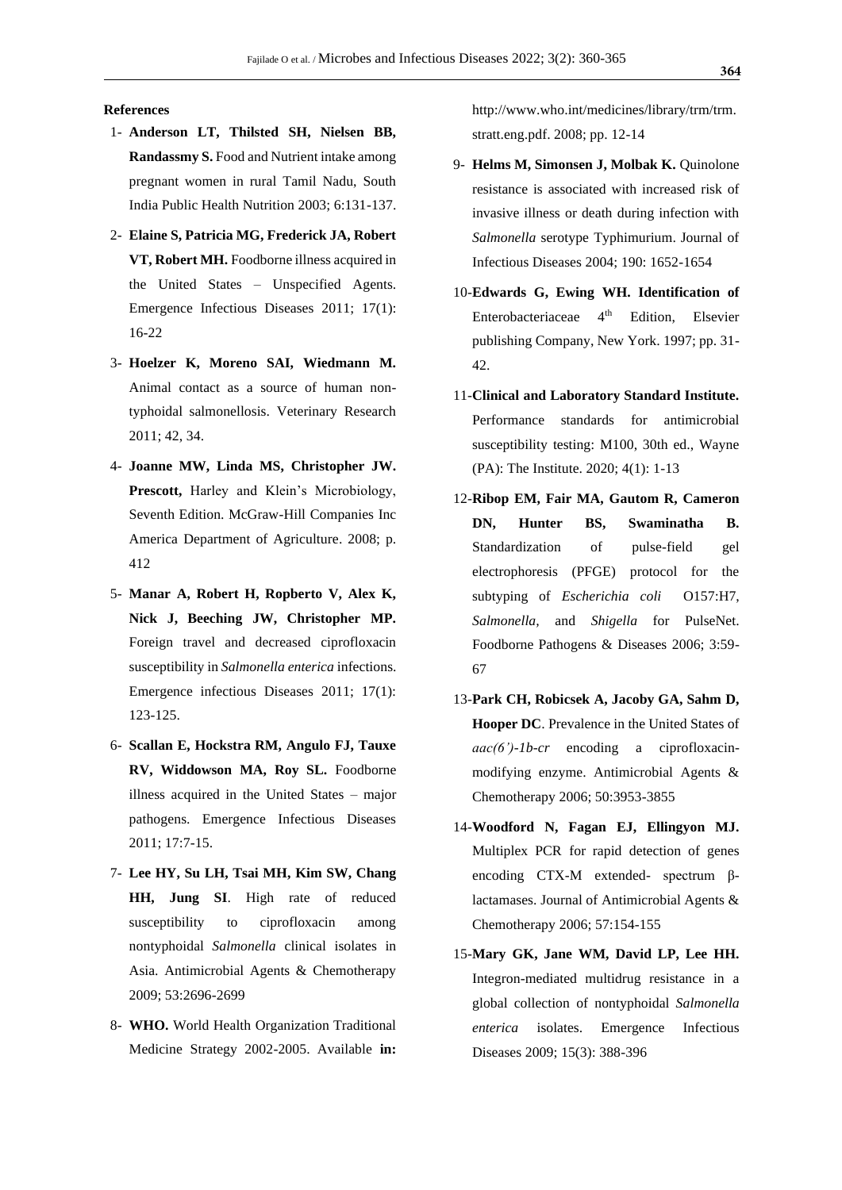#### **References**

- 1- **Anderson LT, Thilsted SH, Nielsen BB, Randassmy S.** Food and Nutrient intake among pregnant women in rural Tamil Nadu, South India Public Health Nutrition 2003; 6:131-137.
- 2- **Elaine S, Patricia MG, Frederick JA, Robert VT, Robert MH.** Foodborne illness acquired in the United States – Unspecified Agents. Emergence Infectious Diseases 2011; 17(1): 16-22
- 3- **Hoelzer K, Moreno SAI, Wiedmann M.**  Animal contact as a source of human nontyphoidal salmonellosis. Veterinary Research 2011; 42, 34.
- 4- **Joanne MW, Linda MS, Christopher JW. Prescott,** Harley and Klein's Microbiology, Seventh Edition. McGraw-Hill Companies Inc America Department of Agriculture. 2008; p. 412
- 5- **Manar A, Robert H, Ropberto V, Alex K, Nick J, Beeching JW, Christopher MP.**  Foreign travel and decreased ciprofloxacin susceptibility in *Salmonella enterica* infections. Emergence infectious Diseases 2011; 17(1): 123-125.
- 6- **Scallan E, Hockstra RM, Angulo FJ, Tauxe RV, Widdowson MA, Roy SL.** Foodborne illness acquired in the United States – major pathogens. Emergence Infectious Diseases 2011; 17:7-15.
- 7- **Lee HY, Su LH, Tsai MH, Kim SW, Chang HH, Jung SI**. High rate of reduced susceptibility to ciprofloxacin among nontyphoidal *Salmonella* clinical isolates in Asia. Antimicrobial Agents & Chemotherapy 2009; 53:2696-2699
- 8- **WHO.** World Health Organization Traditional Medicine Strategy 2002-2005. Available **in:**

http://www.who.int/medicines/library/trm/trm. stratt.eng.pdf. 2008; pp. 12-14

- 9- **Helms M, Simonsen J, Molbak K.** Quinolone resistance is associated with increased risk of invasive illness or death during infection with *Salmonella* serotype Typhimurium. Journal of Infectious Diseases 2004; 190: 1652-1654
- 10-**Edwards G, Ewing WH. Identification of**  Enterobacteriaceae 4th Edition, Elsevier publishing Company, New York. 1997; pp. 31- 42.
- 11-**Clinical and Laboratory Standard Institute.** Performance standards for antimicrobial susceptibility testing: M100, 30th ed., Wayne (PA): The Institute. 2020; 4(1): 1-13
- 12-**Ribop EM, Fair MA, Gautom R, Cameron DN, Hunter BS, Swaminatha B.**  Standardization of pulse-field gel electrophoresis (PFGE) protocol for the subtyping of *Escherichia coli* O157:H7, *Salmonella,* and *Shigella* for PulseNet. Foodborne Pathogens & Diseases 2006; 3:59- 67
- 13-**Park CH, Robicsek A, Jacoby GA, Sahm D, Hooper DC**. Prevalence in the United States of *aac(6')-1b-cr* encoding a ciprofloxacinmodifying enzyme. Antimicrobial Agents & Chemotherapy 2006; 50:3953-3855
- 14-**Woodford N, Fagan EJ, Ellingyon MJ.**  Multiplex PCR for rapid detection of genes encoding CTX-M extended- spectrum βlactamases. Journal of Antimicrobial Agents & Chemotherapy 2006; 57:154-155
- 15-**Mary GK, Jane WM, David LP, Lee HH.**  Integron-mediated multidrug resistance in a global collection of nontyphoidal *Salmonella enterica* isolates. Emergence Infectious Diseases 2009; 15(3): 388-396